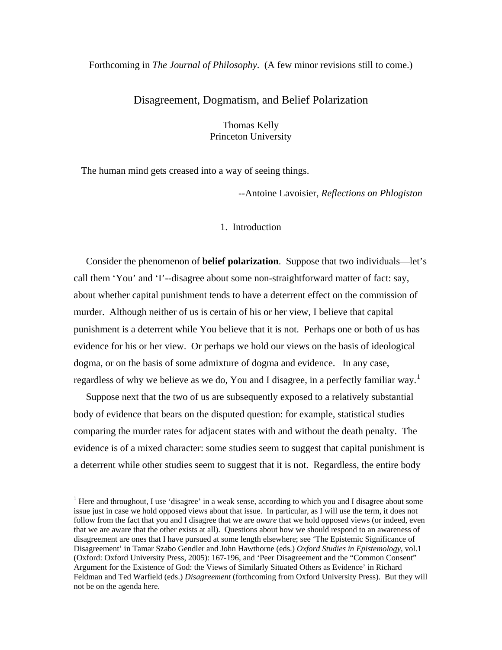## Forthcoming in *The Journal of Philosophy*. (A few minor revisions still to come.)

# Disagreement, Dogmatism, and Belief Polarization

Thomas Kelly Princeton University

The human mind gets creased into a way of seeing things.

 $\overline{a}$ 

--Antoine Lavoisier, *Reflections on Phlogiston* 

## 1. Introduction

 Consider the phenomenon of **belief polarization**. Suppose that two individuals—let's call them 'You' and 'I'--disagree about some non-straightforward matter of fact: say, about whether capital punishment tends to have a deterrent effect on the commission of murder. Although neither of us is certain of his or her view, I believe that capital punishment is a deterrent while You believe that it is not. Perhaps one or both of us has evidence for his or her view. Or perhaps we hold our views on the basis of ideological dogma, or on the basis of some admixture of dogma and evidence. In any case, regardless of why we believe as we do, You and I disagree, in a perfectly familiar way.<sup>[1](#page-0-0)</sup>

 Suppose next that the two of us are subsequently exposed to a relatively substantial body of evidence that bears on the disputed question: for example, statistical studies comparing the murder rates for adjacent states with and without the death penalty. The evidence is of a mixed character: some studies seem to suggest that capital punishment is a deterrent while other studies seem to suggest that it is not. Regardless, the entire body

<span id="page-0-0"></span><sup>&</sup>lt;sup>1</sup> Here and throughout, I use 'disagree' in a weak sense, according to which you and I disagree about some issue just in case we hold opposed views about that issue. In particular, as I will use the term, it does not follow from the fact that you and I disagree that we are *aware* that we hold opposed views (or indeed, even that we are aware that the other exists at all). Questions about how we should respond to an awareness of disagreement are ones that I have pursued at some length elsewhere; see 'The Epistemic Significance of Disagreement' in Tamar Szabo Gendler and John Hawthorne (eds.) *Oxford Studies in Epistemology*, vol.1 (Oxford: Oxford University Press, 2005): 167-196, and 'Peer Disagreement and the "Common Consent" Argument for the Existence of God: the Views of Similarly Situated Others as Evidence' in Richard Feldman and Ted Warfield (eds.) *Disagreement* (forthcoming from Oxford University Press). But they will not be on the agenda here.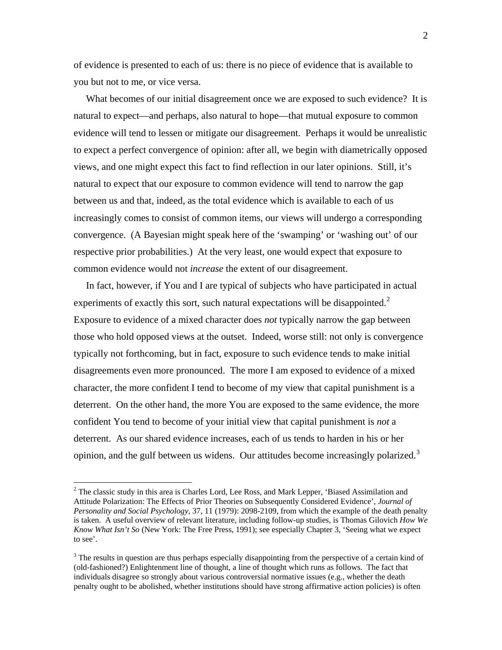of evidence is presented to each of us: there is no piece of evidence that is available to you but not to me, or vice versa.

 What becomes of our initial disagreement once we are exposed to such evidence? It is natural to expect—and perhaps, also natural to hope—that mutual exposure to common evidence will tend to lessen or mitigate our disagreement. Perhaps it would be unrealistic to expect a perfect convergence of opinion: after all, we begin with diametrically opposed views, and one might expect this fact to find reflection in our later opinions. Still, it's natural to expect that our exposure to common evidence will tend to narrow the gap between us and that, indeed, as the total evidence which is available to each of us increasingly comes to consist of common items, our views will undergo a corresponding convergence. (A Bayesian might speak here of the 'swamping' or 'washing out' of our respective prior probabilities.) At the very least, one would expect that exposure to common evidence would not *increase* the extent of our disagreement.

 In fact, however, if You and I are typical of subjects who have participated in actual experiments of exactly this sort, such natural expectations will be disappointed. $2$ Exposure to evidence of a mixed character does *not* typically narrow the gap between those who hold opposed views at the outset. Indeed, worse still: not only is convergence typically not forthcoming, but in fact, exposure to such evidence tends to make initial disagreements even more pronounced. The more I am exposed to evidence of a mixed character, the more confident I tend to become of my view that capital punishment is a deterrent. On the other hand, the more You are exposed to the same evidence, the more confident You tend to become of your initial view that capital punishment is *not* a deterrent. As our shared evidence increases, each of us tends to harden in his or her opinion, and the gulf between us widens. Our attitudes become increasingly polarized.<sup>[3](#page-1-1)</sup>

<span id="page-1-0"></span><sup>&</sup>lt;sup>2</sup> The classic study in this area is Charles Lord, Lee Ross, and Mark Lepper, 'Biased Assimilation and Attitude Polarization: The Effects of Prior Theories on Subsequently Considered Evidence', *Journal of Personality and Social Psychology*, 37, 11 (1979): 2098-2109, from which the example of the death penalty is taken. A useful overview of relevant literature, including follow-up studies, is Thomas Gilovich *How We Know What Isn't So* (New York: The Free Press, 1991); see especially Chapter 3, 'Seeing what we expect to see'.

<span id="page-1-1"></span><sup>&</sup>lt;sup>3</sup> The results in question are thus perhaps especially disappointing from the perspective of a certain kind of (old-fashioned?) Enlightenment line of thought, a line of thought which runs as follows. The fact that individuals disagree so strongly about various controversial normative issues (e.g., whether the death penalty ought to be abolished, whether institutions should have strong affirmative action policies) is often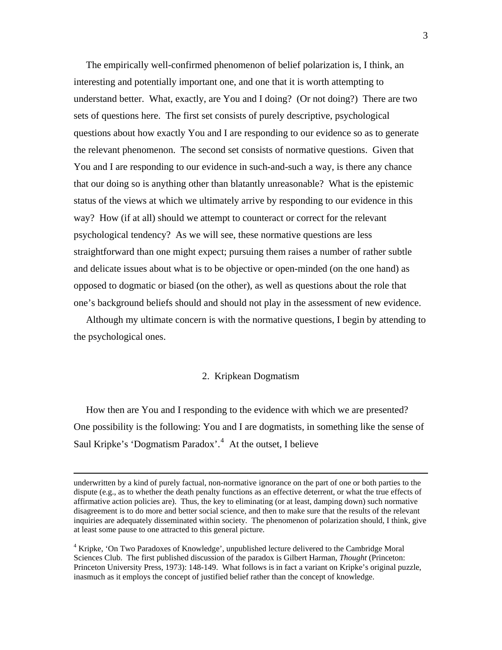The empirically well-confirmed phenomenon of belief polarization is, I think, an interesting and potentially important one, and one that it is worth attempting to understand better. What, exactly, are You and I doing? (Or not doing?) There are two sets of questions here. The first set consists of purely descriptive, psychological questions about how exactly You and I are responding to our evidence so as to generate the relevant phenomenon. The second set consists of normative questions. Given that You and I are responding to our evidence in such-and-such a way, is there any chance that our doing so is anything other than blatantly unreasonable? What is the epistemic status of the views at which we ultimately arrive by responding to our evidence in this way? How (if at all) should we attempt to counteract or correct for the relevant psychological tendency? As we will see, these normative questions are less straightforward than one might expect; pursuing them raises a number of rather subtle and delicate issues about what is to be objective or open-minded (on the one hand) as opposed to dogmatic or biased (on the other), as well as questions about the role that one's background beliefs should and should not play in the assessment of new evidence.

 Although my ultimate concern is with the normative questions, I begin by attending to the psychological ones.

## 2. Kripkean Dogmatism

 How then are You and I responding to the evidence with which we are presented? One possibility is the following: You and I are dogmatists, in something like the sense of Saul Kripke's 'Dogmatism Paradox'.<sup>[4](#page-2-0)</sup> At the outset, I believe

underwritten by a kind of purely factual, non-normative ignorance on the part of one or both parties to the dispute (e.g., as to whether the death penalty functions as an effective deterrent, or what the true effects of affirmative action policies are). Thus, the key to eliminating (or at least, damping down) such normative disagreement is to do more and better social science, and then to make sure that the results of the relevant inquiries are adequately disseminated within society. The phenomenon of polarization should, I think, give at least some pause to one attracted to this general picture.

<span id="page-2-0"></span><sup>&</sup>lt;sup>4</sup> Kripke, 'On Two Paradoxes of Knowledge', unpublished lecture delivered to the Cambridge Moral Sciences Club. The first published discussion of the paradox is Gilbert Harman, *Thought* (Princeton: Princeton University Press, 1973): 148-149. What follows is in fact a variant on Kripke's original puzzle, inasmuch as it employs the concept of justified belief rather than the concept of knowledge.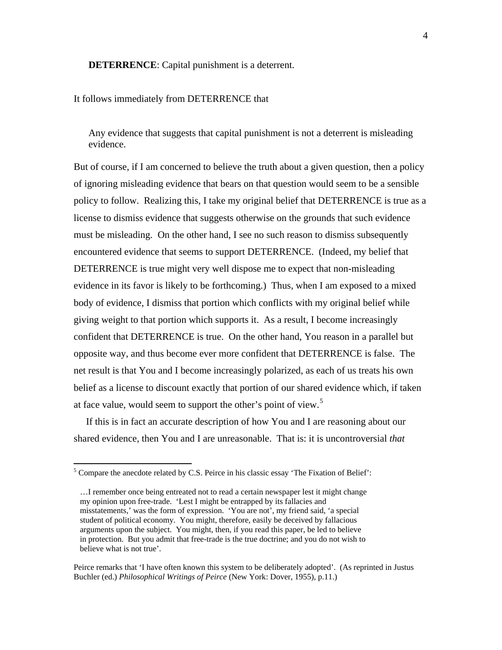#### **DETERRENCE**: Capital punishment is a deterrent.

## It follows immediately from DETERRENCE that

Any evidence that suggests that capital punishment is not a deterrent is misleading evidence.

But of course, if I am concerned to believe the truth about a given question, then a policy of ignoring misleading evidence that bears on that question would seem to be a sensible policy to follow. Realizing this, I take my original belief that DETERRENCE is true as a license to dismiss evidence that suggests otherwise on the grounds that such evidence must be misleading. On the other hand, I see no such reason to dismiss subsequently encountered evidence that seems to support DETERRENCE. (Indeed, my belief that DETERRENCE is true might very well dispose me to expect that non-misleading evidence in its favor is likely to be forthcoming.) Thus, when I am exposed to a mixed body of evidence, I dismiss that portion which conflicts with my original belief while giving weight to that portion which supports it. As a result, I become increasingly confident that DETERRENCE is true. On the other hand, You reason in a parallel but opposite way, and thus become ever more confident that DETERRENCE is false. The net result is that You and I become increasingly polarized, as each of us treats his own belief as a license to discount exactly that portion of our shared evidence which, if taken at face value, would seem to support the other's point of view.<sup>[5](#page-3-0)</sup>

 If this is in fact an accurate description of how You and I are reasoning about our shared evidence, then You and I are unreasonable. That is: it is uncontroversial *that* 

<span id="page-3-0"></span><sup>&</sup>lt;sup>5</sup> Compare the anecdote related by C.S. Peirce in his classic essay 'The Fixation of Belief':

 <sup>…</sup>I remember once being entreated not to read a certain newspaper lest it might change my opinion upon free-trade. 'Lest I might be entrapped by its fallacies and misstatements,' was the form of expression. 'You are not', my friend said, 'a special student of political economy. You might, therefore, easily be deceived by fallacious arguments upon the subject. You might, then, if you read this paper, be led to believe in protection. But you admit that free-trade is the true doctrine; and you do not wish to believe what is not true'.

Peirce remarks that 'I have often known this system to be deliberately adopted'. (As reprinted in Justus Buchler (ed.) *Philosophical Writings of Peirce* (New York: Dover, 1955), p.11.)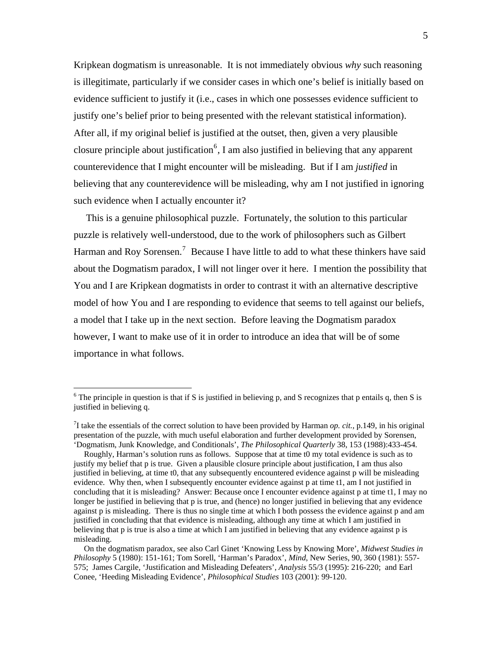Kripkean dogmatism is unreasonable. It is not immediately obvious *why* such reasoning is illegitimate, particularly if we consider cases in which one's belief is initially based on evidence sufficient to justify it (i.e., cases in which one possesses evidence sufficient to justify one's belief prior to being presented with the relevant statistical information). After all, if my original belief is justified at the outset, then, given a very plausible closure principle about justification<sup>[6](#page-4-0)</sup>, I am also justified in believing that any apparent counterevidence that I might encounter will be misleading. But if I am *justified* in believing that any counterevidence will be misleading, why am I not justified in ignoring such evidence when I actually encounter it?

 This is a genuine philosophical puzzle. Fortunately, the solution to this particular puzzle is relatively well-understood, due to the work of philosophers such as Gilbert Harman and Roy Sorensen.<sup>[7](#page-4-1)</sup> Because I have little to add to what these thinkers have said about the Dogmatism paradox, I will not linger over it here. I mention the possibility that You and I are Kripkean dogmatists in order to contrast it with an alternative descriptive model of how You and I are responding to evidence that seems to tell against our beliefs, a model that I take up in the next section. Before leaving the Dogmatism paradox however, I want to make use of it in order to introduce an idea that will be of some importance in what follows.

<span id="page-4-0"></span> $6$  The principle in question is that if S is justified in believing p, and S recognizes that p entails q, then S is justified in believing q.

<span id="page-4-1"></span> $^{7}$ I take the essentials of the correct solution to have been provided by Harman *op. cit.*, p.149, in his original presentation of the puzzle, with much useful elaboration and further development provided by Sorensen, 'Dogmatism, Junk Knowledge, and Conditionals', *The Philosophical Quarterly* 38, 153 (1988):433-454.

Roughly, Harman's solution runs as follows. Suppose that at time t0 my total evidence is such as to justify my belief that p is true. Given a plausible closure principle about justification, I am thus also justified in believing, at time t0, that any subsequently encountered evidence against p will be misleading evidence. Why then, when I subsequently encounter evidence against p at time t1, am I not justified in concluding that it is misleading? Answer: Because once I encounter evidence against p at time t1, I may no longer be justified in believing that p is true, and (hence) no longer justified in believing that any evidence against p is misleading. There is thus no single time at which I both possess the evidence against p and am justified in concluding that that evidence is misleading, although any time at which I am justified in believing that p is true is also a time at which I am justified in believing that any evidence against p is misleading.

On the dogmatism paradox, see also Carl Ginet 'Knowing Less by Knowing More', *Midwest Studies in Philosophy* 5 (1980): 151-161; Tom Sorell, 'Harman's Paradox', *Mind*, New Series, 90, 360 (1981): 557- 575; James Cargile, 'Justification and Misleading Defeaters', *Analysis* 55/3 (1995): 216-220; and Earl Conee, 'Heeding Misleading Evidence', *Philosophical Studies* 103 (2001): 99-120.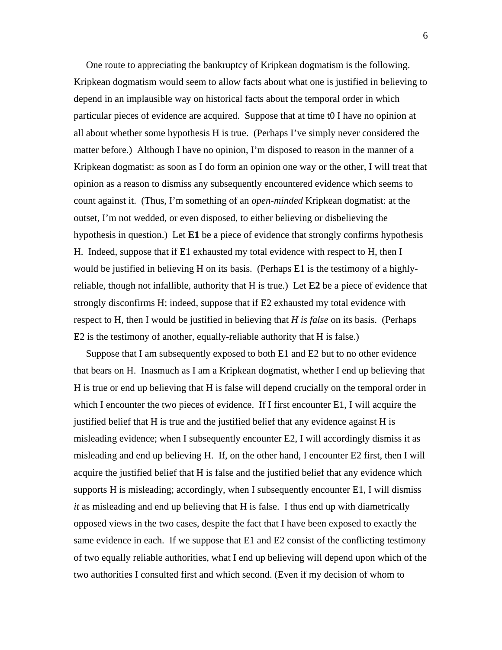One route to appreciating the bankruptcy of Kripkean dogmatism is the following. Kripkean dogmatism would seem to allow facts about what one is justified in believing to depend in an implausible way on historical facts about the temporal order in which particular pieces of evidence are acquired. Suppose that at time t0 I have no opinion at all about whether some hypothesis H is true. (Perhaps I've simply never considered the matter before.) Although I have no opinion, I'm disposed to reason in the manner of a Kripkean dogmatist: as soon as I do form an opinion one way or the other, I will treat that opinion as a reason to dismiss any subsequently encountered evidence which seems to count against it. (Thus, I'm something of an *open-minded* Kripkean dogmatist: at the outset, I'm not wedded, or even disposed, to either believing or disbelieving the hypothesis in question.) Let **E1** be a piece of evidence that strongly confirms hypothesis H. Indeed, suppose that if E1 exhausted my total evidence with respect to H, then I would be justified in believing H on its basis. (Perhaps E1 is the testimony of a highlyreliable, though not infallible, authority that H is true.) Let **E2** be a piece of evidence that strongly disconfirms H; indeed, suppose that if E2 exhausted my total evidence with respect to H, then I would be justified in believing that *H is false* on its basis. (Perhaps E2 is the testimony of another, equally-reliable authority that H is false.)

 Suppose that I am subsequently exposed to both E1 and E2 but to no other evidence that bears on H. Inasmuch as I am a Kripkean dogmatist, whether I end up believing that H is true or end up believing that H is false will depend crucially on the temporal order in which I encounter the two pieces of evidence. If I first encounter E1, I will acquire the justified belief that H is true and the justified belief that any evidence against H is misleading evidence; when I subsequently encounter E2, I will accordingly dismiss it as misleading and end up believing H. If, on the other hand, I encounter E2 first, then I will acquire the justified belief that H is false and the justified belief that any evidence which supports H is misleading; accordingly, when I subsequently encounter E1, I will dismiss *it* as misleading and end up believing that H is false. I thus end up with diametrically opposed views in the two cases, despite the fact that I have been exposed to exactly the same evidence in each. If we suppose that E1 and E2 consist of the conflicting testimony of two equally reliable authorities, what I end up believing will depend upon which of the two authorities I consulted first and which second. (Even if my decision of whom to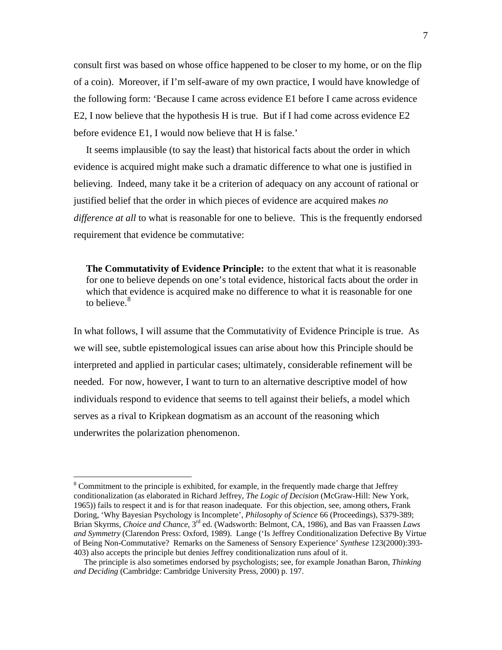consult first was based on whose office happened to be closer to my home, or on the flip of a coin). Moreover, if I'm self-aware of my own practice, I would have knowledge of the following form: 'Because I came across evidence E1 before I came across evidence E2, I now believe that the hypothesis H is true. But if I had come across evidence E2 before evidence E1, I would now believe that H is false.'

 It seems implausible (to say the least) that historical facts about the order in which evidence is acquired might make such a dramatic difference to what one is justified in believing. Indeed, many take it be a criterion of adequacy on any account of rational or justified belief that the order in which pieces of evidence are acquired makes *no difference at all* to what is reasonable for one to believe. This is the frequently endorsed requirement that evidence be commutative:

 **The Commutativity of Evidence Principle:** to the extent that what it is reasonable for one to believe depends on one's total evidence, historical facts about the order in which that evidence is acquired make no difference to what it is reasonable for one to believe.<sup>[8](#page-6-0)</sup>

In what follows, I will assume that the Commutativity of Evidence Principle is true. As we will see, subtle epistemological issues can arise about how this Principle should be interpreted and applied in particular cases; ultimately, considerable refinement will be needed. For now, however, I want to turn to an alternative descriptive model of how individuals respond to evidence that seems to tell against their beliefs, a model which serves as a rival to Kripkean dogmatism as an account of the reasoning which underwrites the polarization phenomenon.

<span id="page-6-0"></span> $8$  Commitment to the principle is exhibited, for example, in the frequently made charge that Jeffrey conditionalization (as elaborated in Richard Jeffrey, *The Logic of Decision* (McGraw-Hill: New York, 1965)) fails to respect it and is for that reason inadequate. For this objection, see, among others, Frank Doring, 'Why Bayesian Psychology is Incomplete', *Philosophy of Science* 66 (Proceedings), S379-389; Brian Skyrms, *Choice and Chance*, 3rd ed. (Wadsworth: Belmont, CA, 1986), and Bas van Fraassen *Laws and Symmetry* (Clarendon Press: Oxford, 1989). Lange ('Is Jeffrey Conditionalization Defective By Virtue of Being Non-Commutative? Remarks on the Sameness of Sensory Experience' *Synthese* 123(2000):393- 403) also accepts the principle but denies Jeffrey conditionalization runs afoul of it.

The principle is also sometimes endorsed by psychologists; see, for example Jonathan Baron, *Thinking and Deciding* (Cambridge: Cambridge University Press, 2000) p. 197.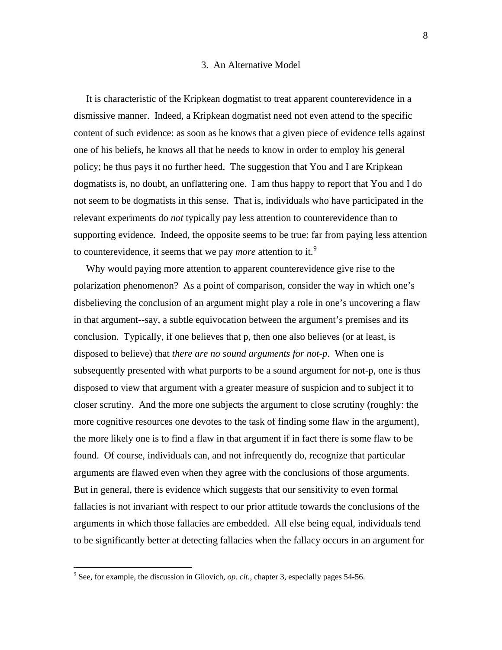# 3. An Alternative Model

 It is characteristic of the Kripkean dogmatist to treat apparent counterevidence in a dismissive manner. Indeed, a Kripkean dogmatist need not even attend to the specific content of such evidence: as soon as he knows that a given piece of evidence tells against one of his beliefs, he knows all that he needs to know in order to employ his general policy; he thus pays it no further heed. The suggestion that You and I are Kripkean dogmatists is, no doubt, an unflattering one. I am thus happy to report that You and I do not seem to be dogmatists in this sense. That is, individuals who have participated in the relevant experiments do *not* typically pay less attention to counterevidence than to supporting evidence. Indeed, the opposite seems to be true: far from paying less attention to counterevidence, it seems that we pay *more* attention to it.<sup>[9](#page-7-0)</sup>

 Why would paying more attention to apparent counterevidence give rise to the polarization phenomenon? As a point of comparison, consider the way in which one's disbelieving the conclusion of an argument might play a role in one's uncovering a flaw in that argument--say, a subtle equivocation between the argument's premises and its conclusion. Typically, if one believes that p, then one also believes (or at least, is disposed to believe) that *there are no sound arguments for not-p*. When one is subsequently presented with what purports to be a sound argument for not-p, one is thus disposed to view that argument with a greater measure of suspicion and to subject it to closer scrutiny. And the more one subjects the argument to close scrutiny (roughly: the more cognitive resources one devotes to the task of finding some flaw in the argument), the more likely one is to find a flaw in that argument if in fact there is some flaw to be found. Of course, individuals can, and not infrequently do, recognize that particular arguments are flawed even when they agree with the conclusions of those arguments. But in general, there is evidence which suggests that our sensitivity to even formal fallacies is not invariant with respect to our prior attitude towards the conclusions of the arguments in which those fallacies are embedded. All else being equal, individuals tend to be significantly better at detecting fallacies when the fallacy occurs in an argument for

<span id="page-7-0"></span><sup>&</sup>lt;sup>9</sup> See, for example, the discussion in Gilovich, *op. cit.*, chapter 3, especially pages 54-56.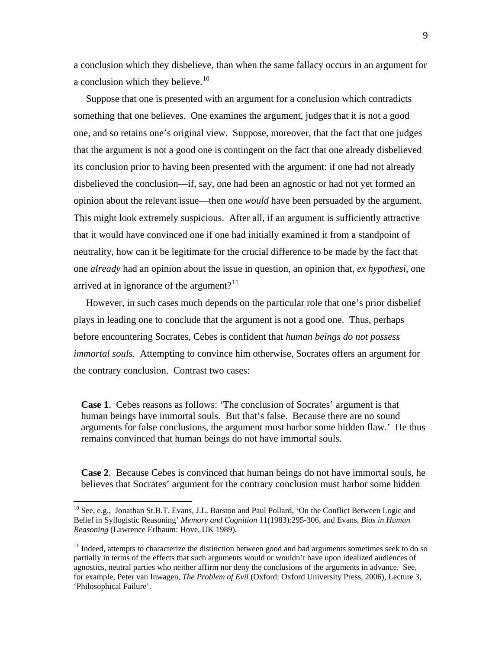a conclusion which they disbelieve, than when the same fallacy occurs in an argument for a conclusion which they believe.<sup>[10](#page-8-0)</sup>

 Suppose that one is presented with an argument for a conclusion which contradicts something that one believes. One examines the argument, judges that it is not a good one, and so retains one's original view. Suppose, moreover, that the fact that one judges that the argument is not a good one is contingent on the fact that one already disbelieved its conclusion prior to having been presented with the argument: if one had not already disbelieved the conclusion—if, say, one had been an agnostic or had not yet formed an opinion about the relevant issue—then one *would* have been persuaded by the argument. This might look extremely suspicious. After all, if an argument is sufficiently attractive that it would have convinced one if one had initially examined it from a standpoint of neutrality, how can it be legitimate for the crucial difference to be made by the fact that one *already* had an opinion about the issue in question, an opinion that, *ex hypothesi*, one arrived at in ignorance of the argument?<sup>[11](#page-8-1)</sup>

 However, in such cases much depends on the particular role that one's prior disbelief plays in leading one to conclude that the argument is not a good one. Thus, perhaps before encountering Socrates, Cebes is confident that *human beings do not possess immortal souls*. Attempting to convince him otherwise, Socrates offers an argument for the contrary conclusion. Contrast two cases:

 **Case 1**. Cebes reasons as follows: 'The conclusion of Socrates' argument is that human beings have immortal souls. But that's false. Because there are no sound arguments for false conclusions, the argument must harbor some hidden flaw.' He thus remains convinced that human beings do not have immortal souls.

 **Case 2**. Because Cebes is convinced that human beings do not have immortal souls, he believes that Socrates' argument for the contrary conclusion must harbor some hidden

<span id="page-8-0"></span><sup>&</sup>lt;sup>10</sup> See, e.g., Jonathan St.B.T. Evans, J.L. Barston and Paul Pollard, 'On the Conflict Between Logic and Belief in Syllogistic Reasoning' *Memory and Cognition* 11(1983):295-306, and Evans, *Bias in Human Reasoning* (Lawrence Erlbaum: Hove, UK 1989).

<span id="page-8-1"></span> $11$  Indeed, attempts to characterize the distinction between good and bad arguments sometimes seek to do so partially in terms of the effects that such arguments would or wouldn't have upon idealized audiences of agnostics, neutral parties who neither affirm nor deny the conclusions of the arguments in advance. See, for example, Peter van Inwagen, *The Problem of Evil* (Oxford: Oxford University Press, 2006), Lecture 3, 'Philosophical Failure'.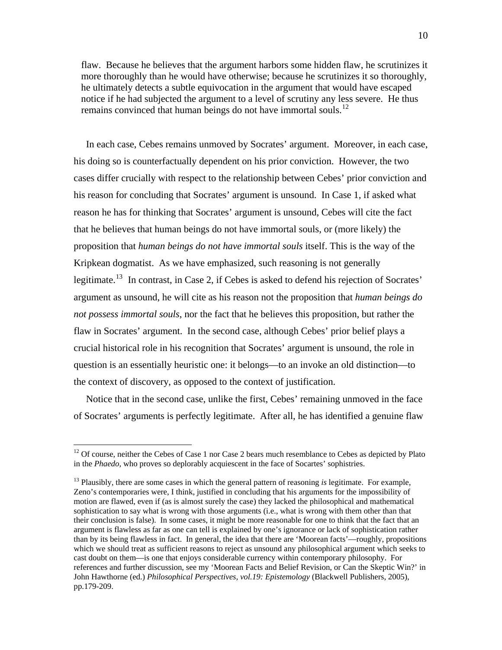flaw. Because he believes that the argument harbors some hidden flaw, he scrutinizes it more thoroughly than he would have otherwise; because he scrutinizes it so thoroughly, he ultimately detects a subtle equivocation in the argument that would have escaped notice if he had subjected the argument to a level of scrutiny any less severe. He thus remains convinced that human beings do not have immortal souls.<sup>[12](#page-9-0)</sup>

 In each case, Cebes remains unmoved by Socrates' argument. Moreover, in each case, his doing so is counterfactually dependent on his prior conviction. However, the two cases differ crucially with respect to the relationship between Cebes' prior conviction and his reason for concluding that Socrates' argument is unsound. In Case 1, if asked what reason he has for thinking that Socrates' argument is unsound, Cebes will cite the fact that he believes that human beings do not have immortal souls, or (more likely) the proposition that *human beings do not have immortal souls* itself. This is the way of the Kripkean dogmatist. As we have emphasized, such reasoning is not generally legitimate.<sup>[13](#page-9-1)</sup> In contrast, in Case 2, if Cebes is asked to defend his rejection of Socrates' argument as unsound, he will cite as his reason not the proposition that *human beings do not possess immortal souls*, nor the fact that he believes this proposition, but rather the flaw in Socrates' argument. In the second case, although Cebes' prior belief plays a crucial historical role in his recognition that Socrates' argument is unsound, the role in question is an essentially heuristic one: it belongs—to an invoke an old distinction—to the context of discovery, as opposed to the context of justification.

 Notice that in the second case, unlike the first, Cebes' remaining unmoved in the face of Socrates' arguments is perfectly legitimate. After all, he has identified a genuine flaw

<span id="page-9-0"></span> $12$  Of course, neither the Cebes of Case 1 nor Case 2 bears much resemblance to Cebes as depicted by Plato in the *Phaedo,* who proves so deplorably acquiescent in the face of Socartes' sophistries.

<span id="page-9-1"></span><sup>&</sup>lt;sup>13</sup> Plausibly, there are some cases in which the general pattern of reasoning *is* legitimate. For example, Zeno's contemporaries were, I think, justified in concluding that his arguments for the impossibility of motion are flawed, even if (as is almost surely the case) they lacked the philosophical and mathematical sophistication to say what is wrong with those arguments (i.e., what is wrong with them other than that their conclusion is false). In some cases, it might be more reasonable for one to think that the fact that an argument is flawless as far as one can tell is explained by one's ignorance or lack of sophistication rather than by its being flawless in fact. In general, the idea that there are 'Moorean facts'—roughly, propositions which we should treat as sufficient reasons to reject as unsound any philosophical argument which seeks to cast doubt on them—is one that enjoys considerable currency within contemporary philosophy. For references and further discussion, see my 'Moorean Facts and Belief Revision, or Can the Skeptic Win?' in John Hawthorne (ed.) *Philosophical Perspectives, vol.19: Epistemology* (Blackwell Publishers, 2005), pp.179-209.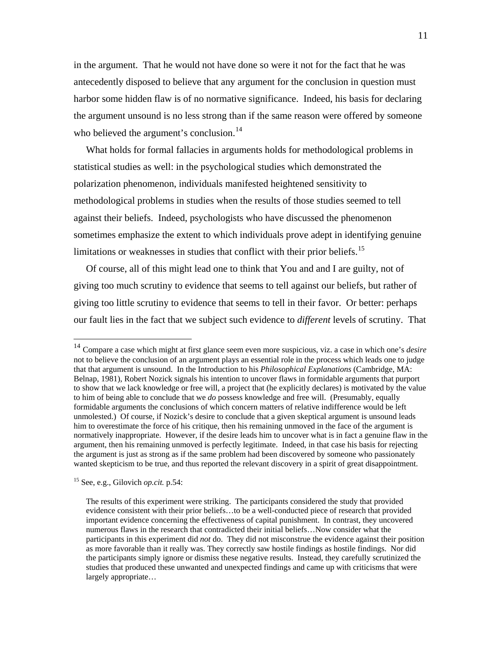in the argument. That he would not have done so were it not for the fact that he was antecedently disposed to believe that any argument for the conclusion in question must harbor some hidden flaw is of no normative significance. Indeed, his basis for declaring the argument unsound is no less strong than if the same reason were offered by someone who believed the argument's conclusion.<sup>[14](#page-10-0)</sup>

 What holds for formal fallacies in arguments holds for methodological problems in statistical studies as well: in the psychological studies which demonstrated the polarization phenomenon, individuals manifested heightened sensitivity to methodological problems in studies when the results of those studies seemed to tell against their beliefs. Indeed, psychologists who have discussed the phenomenon sometimes emphasize the extent to which individuals prove adept in identifying genuine limitations or weaknesses in studies that conflict with their prior beliefs.<sup>[15](#page-10-1)</sup>

 Of course, all of this might lead one to think that You and and I are guilty, not of giving too much scrutiny to evidence that seems to tell against our beliefs, but rather of giving too little scrutiny to evidence that seems to tell in their favor. Or better: perhaps our fault lies in the fact that we subject such evidence to *different* levels of scrutiny. That

<span id="page-10-1"></span>15 See, e.g., Gilovich *op.cit.* p.54:

<span id="page-10-0"></span><sup>14</sup> Compare a case which might at first glance seem even more suspicious, viz. a case in which one's *desire* not to believe the conclusion of an argument plays an essential role in the process which leads one to judge that that argument is unsound. In the Introduction to his *Philosophical Explanations* (Cambridge, MA: Belnap, 1981), Robert Nozick signals his intention to uncover flaws in formidable arguments that purport to show that we lack knowledge or free will, a project that (he explicitly declares) is motivated by the value to him of being able to conclude that we *do* possess knowledge and free will. (Presumably, equally formidable arguments the conclusions of which concern matters of relative indifference would be left unmolested.) Of course, if Nozick's desire to conclude that a given skeptical argument is unsound leads him to overestimate the force of his critique, then his remaining unmoved in the face of the argument is normatively inappropriate. However, if the desire leads him to uncover what is in fact a genuine flaw in the argument, then his remaining unmoved is perfectly legitimate. Indeed, in that case his basis for rejecting the argument is just as strong as if the same problem had been discovered by someone who passionately wanted skepticism to be true, and thus reported the relevant discovery in a spirit of great disappointment.

The results of this experiment were striking. The participants considered the study that provided evidence consistent with their prior beliefs…to be a well-conducted piece of research that provided important evidence concerning the effectiveness of capital punishment. In contrast, they uncovered numerous flaws in the research that contradicted their initial beliefs…Now consider what the participants in this experiment did *not* do. They did not misconstrue the evidence against their position as more favorable than it really was. They correctly saw hostile findings as hostile findings. Nor did the participants simply ignore or dismiss these negative results. Instead, they carefully scrutinized the studies that produced these unwanted and unexpected findings and came up with criticisms that were largely appropriate…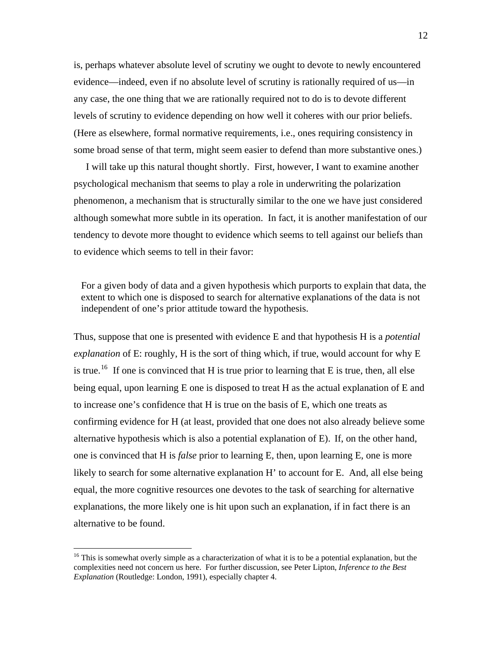is, perhaps whatever absolute level of scrutiny we ought to devote to newly encountered evidence—indeed, even if no absolute level of scrutiny is rationally required of us—in any case, the one thing that we are rationally required not to do is to devote different levels of scrutiny to evidence depending on how well it coheres with our prior beliefs. (Here as elsewhere, formal normative requirements, i.e., ones requiring consistency in some broad sense of that term, might seem easier to defend than more substantive ones.)

 I will take up this natural thought shortly. First, however, I want to examine another psychological mechanism that seems to play a role in underwriting the polarization phenomenon, a mechanism that is structurally similar to the one we have just considered although somewhat more subtle in its operation. In fact, it is another manifestation of our tendency to devote more thought to evidence which seems to tell against our beliefs than to evidence which seems to tell in their favor:

 For a given body of data and a given hypothesis which purports to explain that data, the extent to which one is disposed to search for alternative explanations of the data is not independent of one's prior attitude toward the hypothesis.

Thus, suppose that one is presented with evidence E and that hypothesis H is a *potential explanation* of E: roughly, H is the sort of thing which, if true, would account for why E is true.<sup>[16](#page-11-0)</sup> If one is convinced that H is true prior to learning that E is true, then, all else being equal, upon learning E one is disposed to treat H as the actual explanation of E and to increase one's confidence that H is true on the basis of E, which one treats as confirming evidence for H (at least, provided that one does not also already believe some alternative hypothesis which is also a potential explanation of E). If, on the other hand, one is convinced that H is *false* prior to learning E, then, upon learning E, one is more likely to search for some alternative explanation H' to account for E. And, all else being equal, the more cognitive resources one devotes to the task of searching for alternative explanations, the more likely one is hit upon such an explanation, if in fact there is an alternative to be found.

<span id="page-11-0"></span><sup>&</sup>lt;sup>16</sup> This is somewhat overly simple as a characterization of what it is to be a potential explanation, but the complexities need not concern us here. For further discussion, see Peter Lipton, *Inference to the Best Explanation* (Routledge: London, 1991), especially chapter 4.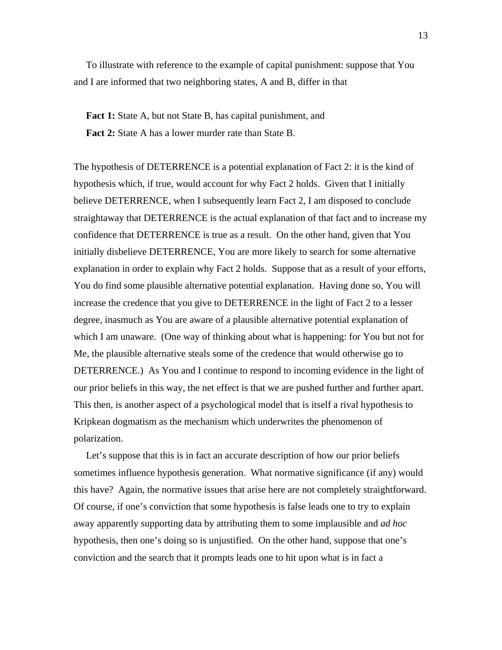To illustrate with reference to the example of capital punishment: suppose that You and I are informed that two neighboring states, A and B, differ in that

**Fact 1:** State A, but not State B, has capital punishment, and **Fact 2:** State A has a lower murder rate than State B.

The hypothesis of DETERRENCE is a potential explanation of Fact 2: it is the kind of hypothesis which, if true, would account for why Fact 2 holds. Given that I initially believe DETERRENCE, when I subsequently learn Fact 2, I am disposed to conclude straightaway that DETERRENCE is the actual explanation of that fact and to increase my confidence that DETERRENCE is true as a result. On the other hand, given that You initially disbelieve DETERRENCE, You are more likely to search for some alternative explanation in order to explain why Fact 2 holds. Suppose that as a result of your efforts, You do find some plausible alternative potential explanation. Having done so, You will increase the credence that you give to DETERRENCE in the light of Fact 2 to a lesser degree, inasmuch as You are aware of a plausible alternative potential explanation of which I am unaware. (One way of thinking about what is happening: for You but not for Me, the plausible alternative steals some of the credence that would otherwise go to DETERRENCE.) As You and I continue to respond to incoming evidence in the light of our prior beliefs in this way, the net effect is that we are pushed further and further apart. This then, is another aspect of a psychological model that is itself a rival hypothesis to Kripkean dogmatism as the mechanism which underwrites the phenomenon of polarization.

 Let's suppose that this is in fact an accurate description of how our prior beliefs sometimes influence hypothesis generation. What normative significance (if any) would this have? Again, the normative issues that arise here are not completely straightforward. Of course, if one's conviction that some hypothesis is false leads one to try to explain away apparently supporting data by attributing them to some implausible and *ad hoc* hypothesis, then one's doing so is unjustified. On the other hand, suppose that one's conviction and the search that it prompts leads one to hit upon what is in fact a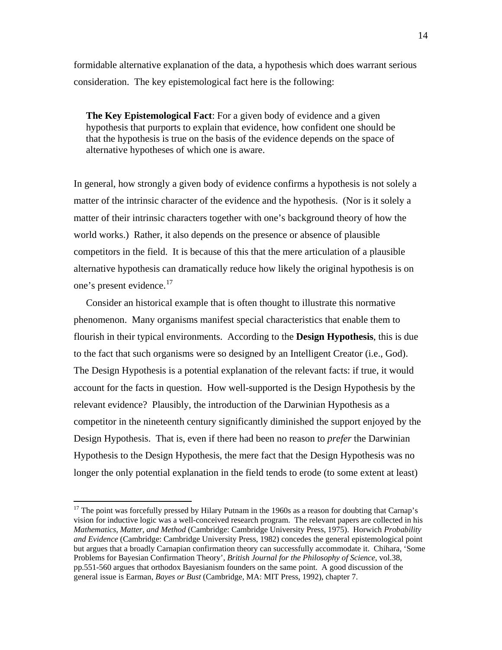formidable alternative explanation of the data, a hypothesis which does warrant serious consideration. The key epistemological fact here is the following:

 **The Key Epistemological Fact**: For a given body of evidence and a given hypothesis that purports to explain that evidence, how confident one should be that the hypothesis is true on the basis of the evidence depends on the space of alternative hypotheses of which one is aware.

In general, how strongly a given body of evidence confirms a hypothesis is not solely a matter of the intrinsic character of the evidence and the hypothesis. (Nor is it solely a matter of their intrinsic characters together with one's background theory of how the world works.) Rather, it also depends on the presence or absence of plausible competitors in the field. It is because of this that the mere articulation of a plausible alternative hypothesis can dramatically reduce how likely the original hypothesis is on one's present evidence.<sup>[17](#page-13-0)</sup>

 Consider an historical example that is often thought to illustrate this normative phenomenon. Many organisms manifest special characteristics that enable them to flourish in their typical environments. According to the **Design Hypothesis**, this is due to the fact that such organisms were so designed by an Intelligent Creator (i.e., God). The Design Hypothesis is a potential explanation of the relevant facts: if true, it would account for the facts in question. How well-supported is the Design Hypothesis by the relevant evidence? Plausibly, the introduction of the Darwinian Hypothesis as a competitor in the nineteenth century significantly diminished the support enjoyed by the Design Hypothesis. That is, even if there had been no reason to *prefer* the Darwinian Hypothesis to the Design Hypothesis, the mere fact that the Design Hypothesis was no longer the only potential explanation in the field tends to erode (to some extent at least)

<span id="page-13-0"></span> $17$  The point was forcefully pressed by Hilary Putnam in the 1960s as a reason for doubting that Carnap's vision for inductive logic was a well-conceived research program. The relevant papers are collected in his *Mathematics, Matter, and Method* (Cambridge: Cambridge University Press, 1975). Horwich *Probability and Evidence* (Cambridge: Cambridge University Press, 1982) concedes the general epistemological point but argues that a broadly Carnapian confirmation theory can successfully accommodate it. Chihara, 'Some Problems for Bayesian Confirmation Theory', *British Journal for the Philosophy of Science*, vol.38, pp.551-560 argues that orthodox Bayesianism founders on the same point. A good discussion of the general issue is Earman, *Bayes or Bust* (Cambridge, MA: MIT Press, 1992), chapter 7.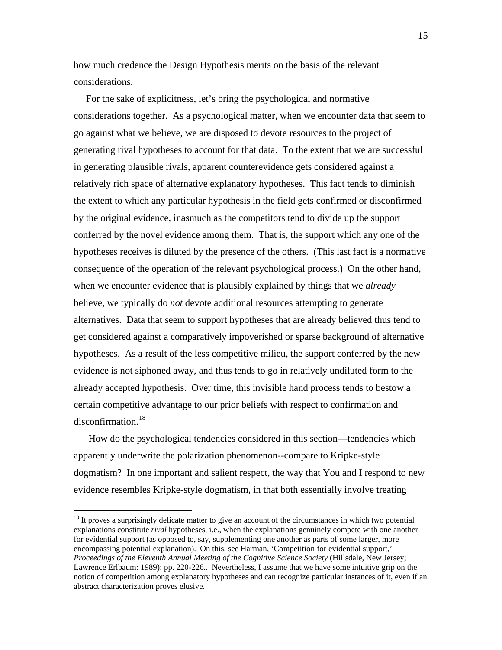how much credence the Design Hypothesis merits on the basis of the relevant considerations.

 For the sake of explicitness, let's bring the psychological and normative considerations together. As a psychological matter, when we encounter data that seem to go against what we believe, we are disposed to devote resources to the project of generating rival hypotheses to account for that data. To the extent that we are successful in generating plausible rivals, apparent counterevidence gets considered against a relatively rich space of alternative explanatory hypotheses. This fact tends to diminish the extent to which any particular hypothesis in the field gets confirmed or disconfirmed by the original evidence, inasmuch as the competitors tend to divide up the support conferred by the novel evidence among them. That is, the support which any one of the hypotheses receives is diluted by the presence of the others. (This last fact is a normative consequence of the operation of the relevant psychological process.) On the other hand, when we encounter evidence that is plausibly explained by things that we *already* believe, we typically do *not* devote additional resources attempting to generate alternatives. Data that seem to support hypotheses that are already believed thus tend to get considered against a comparatively impoverished or sparse background of alternative hypotheses. As a result of the less competitive milieu, the support conferred by the new evidence is not siphoned away, and thus tends to go in relatively undiluted form to the already accepted hypothesis. Over time, this invisible hand process tends to bestow a certain competitive advantage to our prior beliefs with respect to confirmation and disconfirmation.<sup>[18](#page-14-0)</sup>

 How do the psychological tendencies considered in this section—tendencies which apparently underwrite the polarization phenomenon--compare to Kripke-style dogmatism? In one important and salient respect, the way that You and I respond to new evidence resembles Kripke-style dogmatism, in that both essentially involve treating

<span id="page-14-0"></span><sup>&</sup>lt;sup>18</sup> It proves a surprisingly delicate matter to give an account of the circumstances in which two potential explanations constitute *rival* hypotheses, i.e., when the explanations genuinely compete with one another for evidential support (as opposed to, say, supplementing one another as parts of some larger, more encompassing potential explanation). On this, see Harman, 'Competition for evidential support,' *Proceedings of the Eleventh Annual Meeting of the Cognitive Science Society* (Hillsdale, New Jersey; Lawrence Erlbaum: 1989): pp. 220-226.. Nevertheless, I assume that we have some intuitive grip on the notion of competition among explanatory hypotheses and can recognize particular instances of it, even if an abstract characterization proves elusive.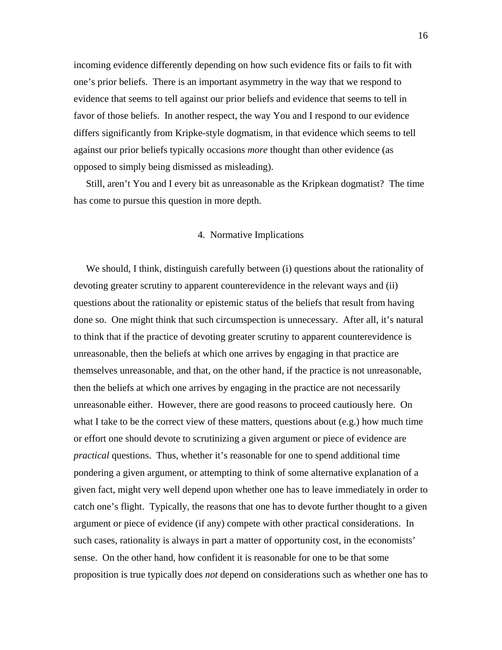incoming evidence differently depending on how such evidence fits or fails to fit with one's prior beliefs. There is an important asymmetry in the way that we respond to evidence that seems to tell against our prior beliefs and evidence that seems to tell in favor of those beliefs. In another respect, the way You and I respond to our evidence differs significantly from Kripke-style dogmatism, in that evidence which seems to tell against our prior beliefs typically occasions *more* thought than other evidence (as opposed to simply being dismissed as misleading).

 Still, aren't You and I every bit as unreasonable as the Kripkean dogmatist? The time has come to pursue this question in more depth.

## 4. Normative Implications

 We should, I think, distinguish carefully between (i) questions about the rationality of devoting greater scrutiny to apparent counterevidence in the relevant ways and (ii) questions about the rationality or epistemic status of the beliefs that result from having done so. One might think that such circumspection is unnecessary. After all, it's natural to think that if the practice of devoting greater scrutiny to apparent counterevidence is unreasonable, then the beliefs at which one arrives by engaging in that practice are themselves unreasonable, and that, on the other hand, if the practice is not unreasonable, then the beliefs at which one arrives by engaging in the practice are not necessarily unreasonable either. However, there are good reasons to proceed cautiously here. On what I take to be the correct view of these matters, questions about (e.g.) how much time or effort one should devote to scrutinizing a given argument or piece of evidence are *practical* questions. Thus, whether it's reasonable for one to spend additional time pondering a given argument, or attempting to think of some alternative explanation of a given fact, might very well depend upon whether one has to leave immediately in order to catch one's flight. Typically, the reasons that one has to devote further thought to a given argument or piece of evidence (if any) compete with other practical considerations. In such cases, rationality is always in part a matter of opportunity cost, in the economists' sense. On the other hand, how confident it is reasonable for one to be that some proposition is true typically does *not* depend on considerations such as whether one has to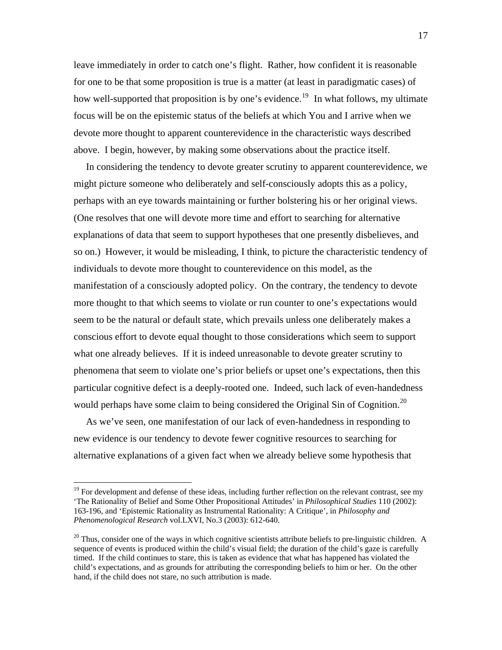leave immediately in order to catch one's flight. Rather, how confident it is reasonable for one to be that some proposition is true is a matter (at least in paradigmatic cases) of how well-supported that proposition is by one's evidence.<sup>[19](#page-16-0)</sup> In what follows, my ultimate focus will be on the epistemic status of the beliefs at which You and I arrive when we devote more thought to apparent counterevidence in the characteristic ways described above. I begin, however, by making some observations about the practice itself.

 In considering the tendency to devote greater scrutiny to apparent counterevidence, we might picture someone who deliberately and self-consciously adopts this as a policy, perhaps with an eye towards maintaining or further bolstering his or her original views. (One resolves that one will devote more time and effort to searching for alternative explanations of data that seem to support hypotheses that one presently disbelieves, and so on.) However, it would be misleading, I think, to picture the characteristic tendency of individuals to devote more thought to counterevidence on this model, as the manifestation of a consciously adopted policy. On the contrary, the tendency to devote more thought to that which seems to violate or run counter to one's expectations would seem to be the natural or default state, which prevails unless one deliberately makes a conscious effort to devote equal thought to those considerations which seem to support what one already believes. If it is indeed unreasonable to devote greater scrutiny to phenomena that seem to violate one's prior beliefs or upset one's expectations, then this particular cognitive defect is a deeply-rooted one. Indeed, such lack of even-handedness would perhaps have some claim to being considered the Original Sin of Cognition.<sup>[20](#page-16-1)</sup>

 As we've seen, one manifestation of our lack of even-handedness in responding to new evidence is our tendency to devote fewer cognitive resources to searching for alternative explanations of a given fact when we already believe some hypothesis that

<span id="page-16-0"></span><sup>&</sup>lt;sup>19</sup> For development and defense of these ideas, including further reflection on the relevant contrast, see my 'The Rationality of Belief and Some Other Propositional Attitudes' in *Philosophical Studies* 110 (2002): 163-196, and 'Epistemic Rationality as Instrumental Rationality: A Critique', in *Philosophy and Phenomenological Research* vol.LXVI, No.3 (2003): 612-640.

<span id="page-16-1"></span> $20$  Thus, consider one of the ways in which cognitive scientists attribute beliefs to pre-linguistic children. A sequence of events is produced within the child's visual field; the duration of the child's gaze is carefully timed. If the child continues to stare, this is taken as evidence that what has happened has violated the child's expectations, and as grounds for attributing the corresponding beliefs to him or her. On the other hand, if the child does not stare, no such attribution is made.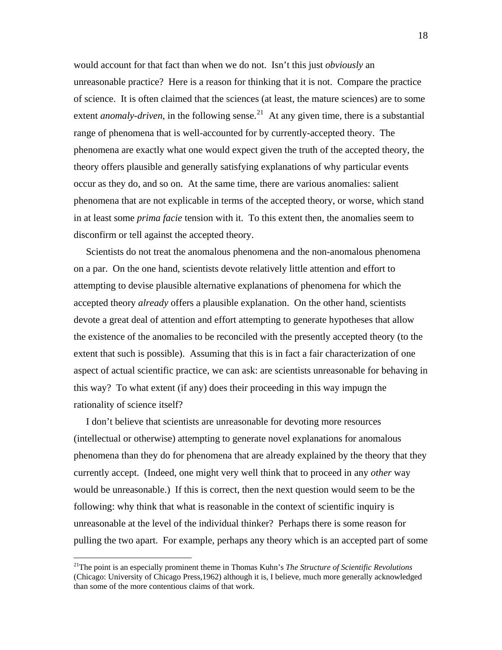would account for that fact than when we do not. Isn't this just *obviously* an unreasonable practice? Here is a reason for thinking that it is not. Compare the practice of science. It is often claimed that the sciences (at least, the mature sciences) are to some extent *anomaly-driven*, in the following sense.<sup>[21](#page-17-0)</sup> At any given time, there is a substantial range of phenomena that is well-accounted for by currently-accepted theory. The phenomena are exactly what one would expect given the truth of the accepted theory, the theory offers plausible and generally satisfying explanations of why particular events occur as they do, and so on. At the same time, there are various anomalies: salient phenomena that are not explicable in terms of the accepted theory, or worse, which stand in at least some *prima facie* tension with it. To this extent then, the anomalies seem to disconfirm or tell against the accepted theory.

 Scientists do not treat the anomalous phenomena and the non-anomalous phenomena on a par. On the one hand, scientists devote relatively little attention and effort to attempting to devise plausible alternative explanations of phenomena for which the accepted theory *already* offers a plausible explanation. On the other hand, scientists devote a great deal of attention and effort attempting to generate hypotheses that allow the existence of the anomalies to be reconciled with the presently accepted theory (to the extent that such is possible). Assuming that this is in fact a fair characterization of one aspect of actual scientific practice, we can ask: are scientists unreasonable for behaving in this way? To what extent (if any) does their proceeding in this way impugn the rationality of science itself?

 I don't believe that scientists are unreasonable for devoting more resources (intellectual or otherwise) attempting to generate novel explanations for anomalous phenomena than they do for phenomena that are already explained by the theory that they currently accept. (Indeed, one might very well think that to proceed in any *other* way would be unreasonable.) If this is correct, then the next question would seem to be the following: why think that what is reasonable in the context of scientific inquiry is unreasonable at the level of the individual thinker? Perhaps there is some reason for pulling the two apart. For example, perhaps any theory which is an accepted part of some

<span id="page-17-0"></span><sup>21</sup>The point is an especially prominent theme in Thomas Kuhn's *The Structure of Scientific Revolutions* (Chicago: University of Chicago Press,1962) although it is, I believe, much more generally acknowledged than some of the more contentious claims of that work.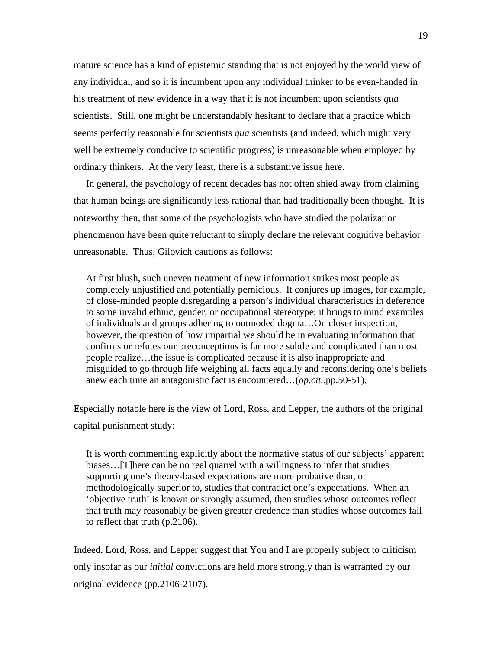mature science has a kind of epistemic standing that is not enjoyed by the world view of any individual, and so it is incumbent upon any individual thinker to be even-handed in his treatment of new evidence in a way that it is not incumbent upon scientists *qua* scientists. Still, one might be understandably hesitant to declare that a practice which seems perfectly reasonable for scientists *qua* scientists (and indeed, which might very well be extremely conducive to scientific progress) is unreasonable when employed by ordinary thinkers. At the very least, there is a substantive issue here.

 In general, the psychology of recent decades has not often shied away from claiming that human beings are significantly less rational than had traditionally been thought. It is noteworthy then, that some of the psychologists who have studied the polarization phenomenon have been quite reluctant to simply declare the relevant cognitive behavior unreasonable. Thus, Gilovich cautions as follows:

 At first blush, such uneven treatment of new information strikes most people as completely unjustified and potentially pernicious. It conjures up images, for example, of close-minded people disregarding a person's individual characteristics in deference to some invalid ethnic, gender, or occupational stereotype; it brings to mind examples of individuals and groups adhering to outmoded dogma…On closer inspection, however, the question of how impartial we should be in evaluating information that confirms or refutes our preconceptions is far more subtle and complicated than most people realize…the issue is complicated because it is also inappropriate and misguided to go through life weighing all facts equally and reconsidering one's beliefs anew each time an antagonistic fact is encountered…(*op.cit.,*pp.50-51).

Especially notable here is the view of Lord, Ross, and Lepper, the authors of the original capital punishment study:

 It is worth commenting explicitly about the normative status of our subjects' apparent biases…[T]here can be no real quarrel with a willingness to infer that studies supporting one's theory-based expectations are more probative than, or methodologically superior to, studies that contradict one's expectations. When an 'objective truth' is known or strongly assumed, then studies whose outcomes reflect that truth may reasonably be given greater credence than studies whose outcomes fail to reflect that truth (p.2106).

Indeed, Lord, Ross, and Lepper suggest that You and I are properly subject to criticism only insofar as our *initial* convictions are held more strongly than is warranted by our original evidence (pp.2106-2107).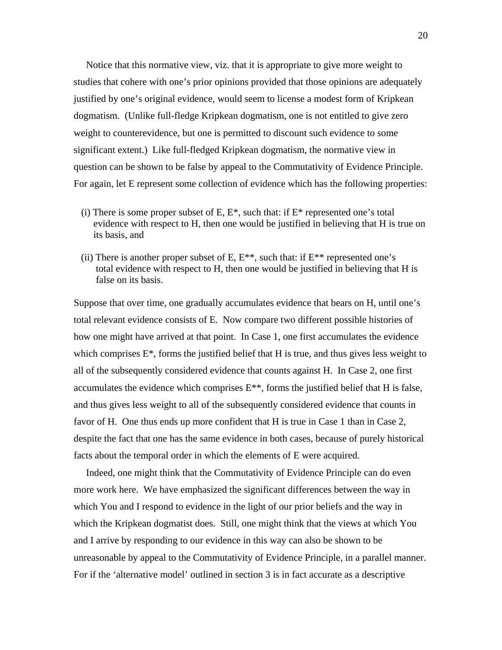Notice that this normative view, viz. that it is appropriate to give more weight to studies that cohere with one's prior opinions provided that those opinions are adequately justified by one's original evidence, would seem to license a modest form of Kripkean dogmatism. (Unlike full-fledge Kripkean dogmatism, one is not entitled to give zero weight to counterevidence, but one is permitted to discount such evidence to some significant extent.) Like full-fledged Kripkean dogmatism, the normative view in question can be shown to be false by appeal to the Commutativity of Evidence Principle. For again, let E represent some collection of evidence which has the following properties:

- (i) There is some proper subset of E,  $E^*$ , such that: if  $E^*$  represented one's total evidence with respect to H, then one would be justified in believing that H is true on its basis, and
- (ii) There is another proper subset of E,  $E^{**}$ , such that: if  $E^{**}$  represented one's total evidence with respect to H, then one would be justified in believing that H is false on its basis.

Suppose that over time, one gradually accumulates evidence that bears on H, until one's total relevant evidence consists of E. Now compare two different possible histories of how one might have arrived at that point. In Case 1, one first accumulates the evidence which comprises  $E^*$ , forms the justified belief that H is true, and thus gives less weight to all of the subsequently considered evidence that counts against H. In Case 2, one first accumulates the evidence which comprises  $E^{**}$ , forms the justified belief that H is false, and thus gives less weight to all of the subsequently considered evidence that counts in favor of H. One thus ends up more confident that H is true in Case 1 than in Case 2, despite the fact that one has the same evidence in both cases, because of purely historical facts about the temporal order in which the elements of E were acquired.

 Indeed, one might think that the Commutativity of Evidence Principle can do even more work here. We have emphasized the significant differences between the way in which You and I respond to evidence in the light of our prior beliefs and the way in which the Kripkean dogmatist does. Still, one might think that the views at which You and I arrive by responding to our evidence in this way can also be shown to be unreasonable by appeal to the Commutativity of Evidence Principle, in a parallel manner. For if the 'alternative model' outlined in section 3 is in fact accurate as a descriptive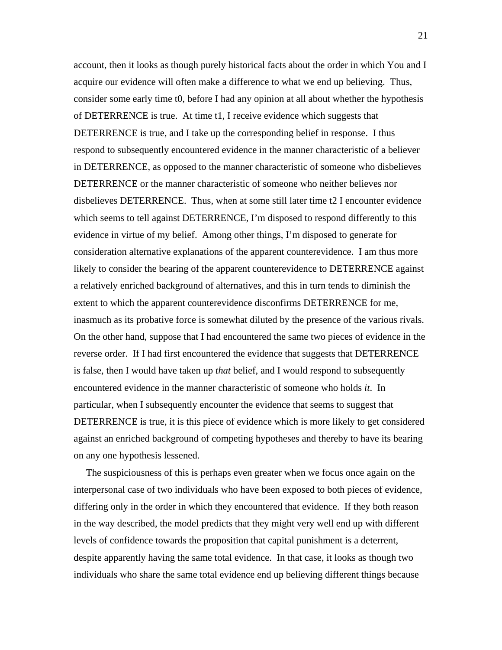account, then it looks as though purely historical facts about the order in which You and I acquire our evidence will often make a difference to what we end up believing. Thus, consider some early time t0, before I had any opinion at all about whether the hypothesis of DETERRENCE is true. At time t1, I receive evidence which suggests that DETERRENCE is true, and I take up the corresponding belief in response. I thus respond to subsequently encountered evidence in the manner characteristic of a believer in DETERRENCE, as opposed to the manner characteristic of someone who disbelieves DETERRENCE or the manner characteristic of someone who neither believes nor disbelieves DETERRENCE. Thus, when at some still later time t2 I encounter evidence which seems to tell against DETERRENCE, I'm disposed to respond differently to this evidence in virtue of my belief. Among other things, I'm disposed to generate for consideration alternative explanations of the apparent counterevidence. I am thus more likely to consider the bearing of the apparent counterevidence to DETERRENCE against a relatively enriched background of alternatives, and this in turn tends to diminish the extent to which the apparent counterevidence disconfirms DETERRENCE for me, inasmuch as its probative force is somewhat diluted by the presence of the various rivals. On the other hand, suppose that I had encountered the same two pieces of evidence in the reverse order. If I had first encountered the evidence that suggests that DETERRENCE is false, then I would have taken up *that* belief, and I would respond to subsequently encountered evidence in the manner characteristic of someone who holds *it*. In particular, when I subsequently encounter the evidence that seems to suggest that DETERRENCE is true, it is this piece of evidence which is more likely to get considered against an enriched background of competing hypotheses and thereby to have its bearing on any one hypothesis lessened.

 The suspiciousness of this is perhaps even greater when we focus once again on the interpersonal case of two individuals who have been exposed to both pieces of evidence, differing only in the order in which they encountered that evidence. If they both reason in the way described, the model predicts that they might very well end up with different levels of confidence towards the proposition that capital punishment is a deterrent, despite apparently having the same total evidence. In that case, it looks as though two individuals who share the same total evidence end up believing different things because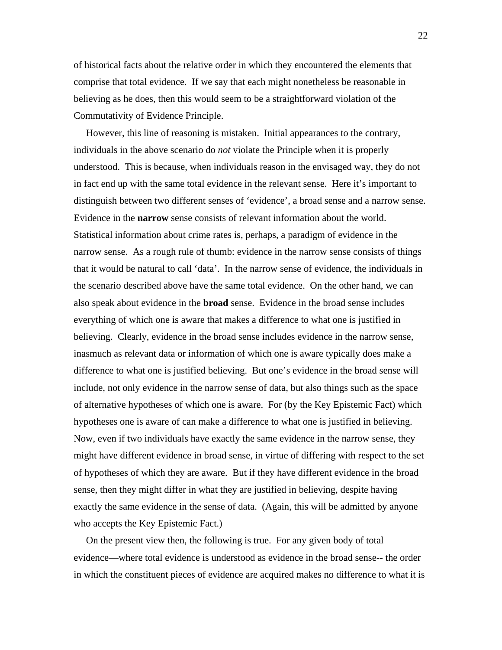of historical facts about the relative order in which they encountered the elements that comprise that total evidence. If we say that each might nonetheless be reasonable in believing as he does, then this would seem to be a straightforward violation of the Commutativity of Evidence Principle.

 However, this line of reasoning is mistaken. Initial appearances to the contrary, individuals in the above scenario do *not* violate the Principle when it is properly understood. This is because, when individuals reason in the envisaged way, they do not in fact end up with the same total evidence in the relevant sense. Here it's important to distinguish between two different senses of 'evidence', a broad sense and a narrow sense. Evidence in the **narrow** sense consists of relevant information about the world. Statistical information about crime rates is, perhaps, a paradigm of evidence in the narrow sense. As a rough rule of thumb: evidence in the narrow sense consists of things that it would be natural to call 'data'. In the narrow sense of evidence, the individuals in the scenario described above have the same total evidence. On the other hand, we can also speak about evidence in the **broad** sense. Evidence in the broad sense includes everything of which one is aware that makes a difference to what one is justified in believing. Clearly, evidence in the broad sense includes evidence in the narrow sense, inasmuch as relevant data or information of which one is aware typically does make a difference to what one is justified believing. But one's evidence in the broad sense will include, not only evidence in the narrow sense of data, but also things such as the space of alternative hypotheses of which one is aware. For (by the Key Epistemic Fact) which hypotheses one is aware of can make a difference to what one is justified in believing. Now, even if two individuals have exactly the same evidence in the narrow sense, they might have different evidence in broad sense, in virtue of differing with respect to the set of hypotheses of which they are aware. But if they have different evidence in the broad sense, then they might differ in what they are justified in believing, despite having exactly the same evidence in the sense of data. (Again, this will be admitted by anyone who accepts the Key Epistemic Fact.)

 On the present view then, the following is true. For any given body of total evidence—where total evidence is understood as evidence in the broad sense-- the order in which the constituent pieces of evidence are acquired makes no difference to what it is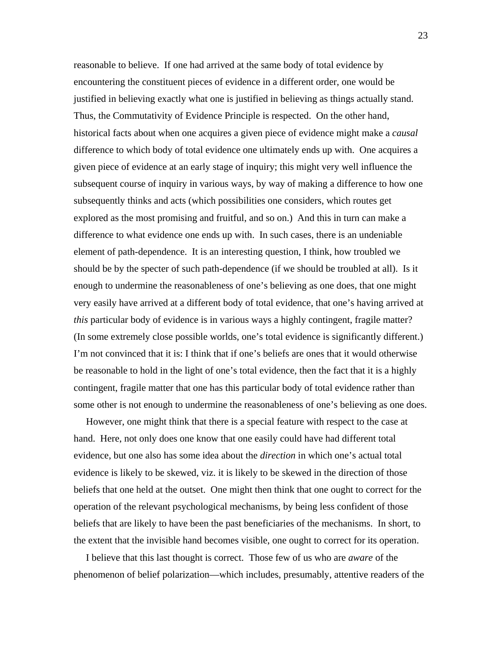reasonable to believe. If one had arrived at the same body of total evidence by encountering the constituent pieces of evidence in a different order, one would be justified in believing exactly what one is justified in believing as things actually stand. Thus, the Commutativity of Evidence Principle is respected. On the other hand, historical facts about when one acquires a given piece of evidence might make a *causal* difference to which body of total evidence one ultimately ends up with. One acquires a given piece of evidence at an early stage of inquiry; this might very well influence the subsequent course of inquiry in various ways, by way of making a difference to how one subsequently thinks and acts (which possibilities one considers, which routes get explored as the most promising and fruitful, and so on.) And this in turn can make a difference to what evidence one ends up with. In such cases, there is an undeniable element of path-dependence. It is an interesting question, I think, how troubled we should be by the specter of such path-dependence (if we should be troubled at all). Is it enough to undermine the reasonableness of one's believing as one does, that one might very easily have arrived at a different body of total evidence, that one's having arrived at *this* particular body of evidence is in various ways a highly contingent, fragile matter? (In some extremely close possible worlds, one's total evidence is significantly different.) I'm not convinced that it is: I think that if one's beliefs are ones that it would otherwise be reasonable to hold in the light of one's total evidence, then the fact that it is a highly contingent, fragile matter that one has this particular body of total evidence rather than some other is not enough to undermine the reasonableness of one's believing as one does.

 However, one might think that there is a special feature with respect to the case at hand. Here, not only does one know that one easily could have had different total evidence, but one also has some idea about the *direction* in which one's actual total evidence is likely to be skewed, viz. it is likely to be skewed in the direction of those beliefs that one held at the outset. One might then think that one ought to correct for the operation of the relevant psychological mechanisms, by being less confident of those beliefs that are likely to have been the past beneficiaries of the mechanisms. In short, to the extent that the invisible hand becomes visible, one ought to correct for its operation.

 I believe that this last thought is correct. Those few of us who are *aware* of the phenomenon of belief polarization—which includes, presumably, attentive readers of the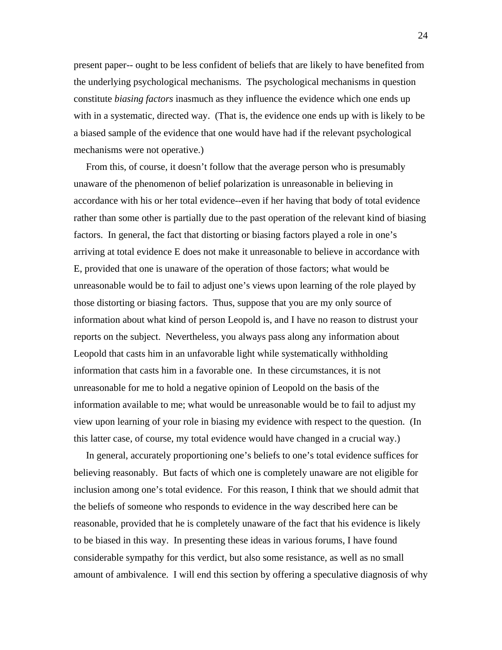present paper-- ought to be less confident of beliefs that are likely to have benefited from the underlying psychological mechanisms. The psychological mechanisms in question constitute *biasing factors* inasmuch as they influence the evidence which one ends up with in a systematic, directed way. (That is, the evidence one ends up with is likely to be a biased sample of the evidence that one would have had if the relevant psychological mechanisms were not operative.)

 From this, of course, it doesn't follow that the average person who is presumably unaware of the phenomenon of belief polarization is unreasonable in believing in accordance with his or her total evidence--even if her having that body of total evidence rather than some other is partially due to the past operation of the relevant kind of biasing factors. In general, the fact that distorting or biasing factors played a role in one's arriving at total evidence E does not make it unreasonable to believe in accordance with E, provided that one is unaware of the operation of those factors; what would be unreasonable would be to fail to adjust one's views upon learning of the role played by those distorting or biasing factors. Thus, suppose that you are my only source of information about what kind of person Leopold is, and I have no reason to distrust your reports on the subject. Nevertheless, you always pass along any information about Leopold that casts him in an unfavorable light while systematically withholding information that casts him in a favorable one. In these circumstances, it is not unreasonable for me to hold a negative opinion of Leopold on the basis of the information available to me; what would be unreasonable would be to fail to adjust my view upon learning of your role in biasing my evidence with respect to the question. (In this latter case, of course, my total evidence would have changed in a crucial way.)

 In general, accurately proportioning one's beliefs to one's total evidence suffices for believing reasonably. But facts of which one is completely unaware are not eligible for inclusion among one's total evidence. For this reason, I think that we should admit that the beliefs of someone who responds to evidence in the way described here can be reasonable, provided that he is completely unaware of the fact that his evidence is likely to be biased in this way. In presenting these ideas in various forums, I have found considerable sympathy for this verdict, but also some resistance, as well as no small amount of ambivalence. I will end this section by offering a speculative diagnosis of why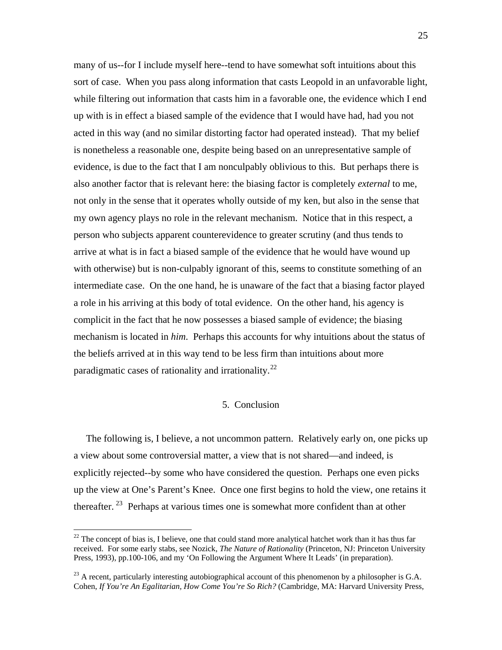many of us--for I include myself here--tend to have somewhat soft intuitions about this sort of case. When you pass along information that casts Leopold in an unfavorable light, while filtering out information that casts him in a favorable one, the evidence which I end up with is in effect a biased sample of the evidence that I would have had, had you not acted in this way (and no similar distorting factor had operated instead). That my belief is nonetheless a reasonable one, despite being based on an unrepresentative sample of evidence, is due to the fact that I am nonculpably oblivious to this. But perhaps there is also another factor that is relevant here: the biasing factor is completely *external* to me, not only in the sense that it operates wholly outside of my ken, but also in the sense that my own agency plays no role in the relevant mechanism. Notice that in this respect, a person who subjects apparent counterevidence to greater scrutiny (and thus tends to arrive at what is in fact a biased sample of the evidence that he would have wound up with otherwise) but is non-culpably ignorant of this, seems to constitute something of an intermediate case. On the one hand, he is unaware of the fact that a biasing factor played a role in his arriving at this body of total evidence. On the other hand, his agency is complicit in the fact that he now possesses a biased sample of evidence; the biasing mechanism is located in *him*. Perhaps this accounts for why intuitions about the status of the beliefs arrived at in this way tend to be less firm than intuitions about more paradigmatic cases of rationality and irrationality.<sup>[22](#page-24-0)</sup>

# 5. Conclusion

 The following is, I believe, a not uncommon pattern. Relatively early on, one picks up a view about some controversial matter, a view that is not shared—and indeed, is explicitly rejected--by some who have considered the question. Perhaps one even picks up the view at One's Parent's Knee. Once one first begins to hold the view, one retains it thereafter. [23](#page-24-1) Perhaps at various times one is somewhat more confident than at other

<span id="page-24-0"></span> $^{22}$  The concept of bias is, I believe, one that could stand more analytical hatchet work than it has thus far received. For some early stabs, see Nozick, *The Nature of Rationality* (Princeton, NJ: Princeton University Press, 1993), pp.100-106, and my 'On Following the Argument Where It Leads' (in preparation).

<span id="page-24-1"></span><sup>&</sup>lt;sup>23</sup> A recent, particularly interesting autobiographical account of this phenomenon by a philosopher is G.A. Cohen, *If You're An Egalitarian, How Come You're So Rich?* (Cambridge, MA: Harvard University Press,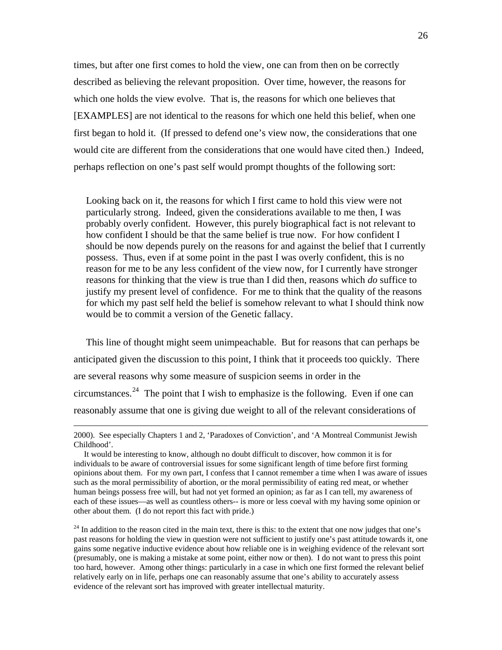times, but after one first comes to hold the view, one can from then on be correctly described as believing the relevant proposition. Over time, however, the reasons for which one holds the view evolve. That is, the reasons for which one believes that [EXAMPLES] are not identical to the reasons for which one held this belief, when one first began to hold it. (If pressed to defend one's view now, the considerations that one would cite are different from the considerations that one would have cited then.) Indeed, perhaps reflection on one's past self would prompt thoughts of the following sort:

 Looking back on it, the reasons for which I first came to hold this view were not particularly strong. Indeed, given the considerations available to me then, I was probably overly confident. However, this purely biographical fact is not relevant to how confident I should be that the same belief is true now. For how confident I should be now depends purely on the reasons for and against the belief that I currently possess. Thus, even if at some point in the past I was overly confident, this is no reason for me to be any less confident of the view now, for I currently have stronger reasons for thinking that the view is true than I did then, reasons which *do* suffice to justify my present level of confidence. For me to think that the quality of the reasons for which my past self held the belief is somehow relevant to what I should think now would be to commit a version of the Genetic fallacy.

 This line of thought might seem unimpeachable. But for reasons that can perhaps be anticipated given the discussion to this point, I think that it proceeds too quickly. There are several reasons why some measure of suspicion seems in order in the circumstances. $24$  The point that I wish to emphasize is the following. Even if one can reasonably assume that one is giving due weight to all of the relevant considerations of

<span id="page-25-0"></span><sup>24</sup> In addition to the reason cited in the main text, there is this: to the extent that one now judges that one's past reasons for holding the view in question were not sufficient to justify one's past attitude towards it, one gains some negative inductive evidence about how reliable one is in weighing evidence of the relevant sort (presumably, one is making a mistake at some point, either now or then). I do not want to press this point too hard, however. Among other things: particularly in a case in which one first formed the relevant belief relatively early on in life, perhaps one can reasonably assume that one's ability to accurately assess evidence of the relevant sort has improved with greater intellectual maturity.

 <sup>2000).</sup> See especially Chapters 1 and 2, 'Paradoxes of Conviction', and 'A Montreal Communist Jewish Childhood'.

It would be interesting to know, although no doubt difficult to discover, how common it is for individuals to be aware of controversial issues for some significant length of time before first forming opinions about them. For my own part, I confess that I cannot remember a time when I was aware of issues such as the moral permissibility of abortion, or the moral permissibility of eating red meat, or whether human beings possess free will, but had not yet formed an opinion; as far as I can tell, my awareness of each of these issues—as well as countless others-- is more or less coeval with my having some opinion or other about them. (I do not report this fact with pride.)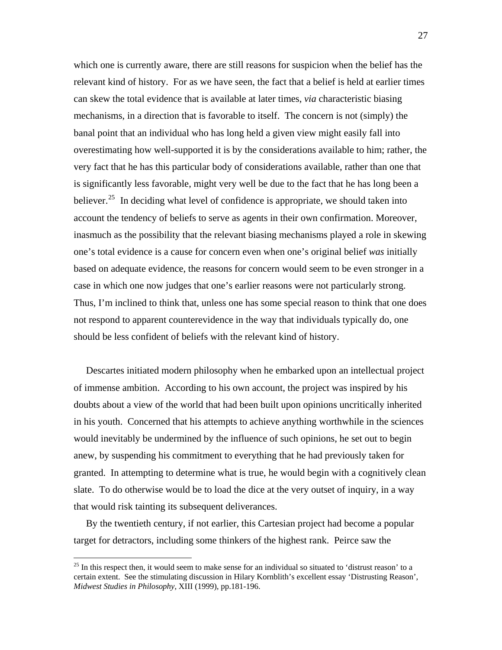which one is currently aware, there are still reasons for suspicion when the belief has the relevant kind of history. For as we have seen, the fact that a belief is held at earlier times can skew the total evidence that is available at later times, *via* characteristic biasing mechanisms, in a direction that is favorable to itself. The concern is not (simply) the banal point that an individual who has long held a given view might easily fall into overestimating how well-supported it is by the considerations available to him; rather, the very fact that he has this particular body of considerations available, rather than one that is significantly less favorable, might very well be due to the fact that he has long been a believer.<sup>[25](#page-26-0)</sup> In deciding what level of confidence is appropriate, we should taken into account the tendency of beliefs to serve as agents in their own confirmation. Moreover, inasmuch as the possibility that the relevant biasing mechanisms played a role in skewing one's total evidence is a cause for concern even when one's original belief *was* initially based on adequate evidence, the reasons for concern would seem to be even stronger in a case in which one now judges that one's earlier reasons were not particularly strong. Thus, I'm inclined to think that, unless one has some special reason to think that one does not respond to apparent counterevidence in the way that individuals typically do, one should be less confident of beliefs with the relevant kind of history.

 Descartes initiated modern philosophy when he embarked upon an intellectual project of immense ambition. According to his own account, the project was inspired by his doubts about a view of the world that had been built upon opinions uncritically inherited in his youth. Concerned that his attempts to achieve anything worthwhile in the sciences would inevitably be undermined by the influence of such opinions, he set out to begin anew, by suspending his commitment to everything that he had previously taken for granted. In attempting to determine what is true, he would begin with a cognitively clean slate. To do otherwise would be to load the dice at the very outset of inquiry, in a way that would risk tainting its subsequent deliverances.

 By the twentieth century, if not earlier, this Cartesian project had become a popular target for detractors, including some thinkers of the highest rank. Peirce saw the

<span id="page-26-0"></span> $25$  In this respect then, it would seem to make sense for an individual so situated to 'distrust reason' to a certain extent. See the stimulating discussion in Hilary Kornblith's excellent essay 'Distrusting Reason', *Midwest Studies in Philosophy*, XIII (1999), pp.181-196.